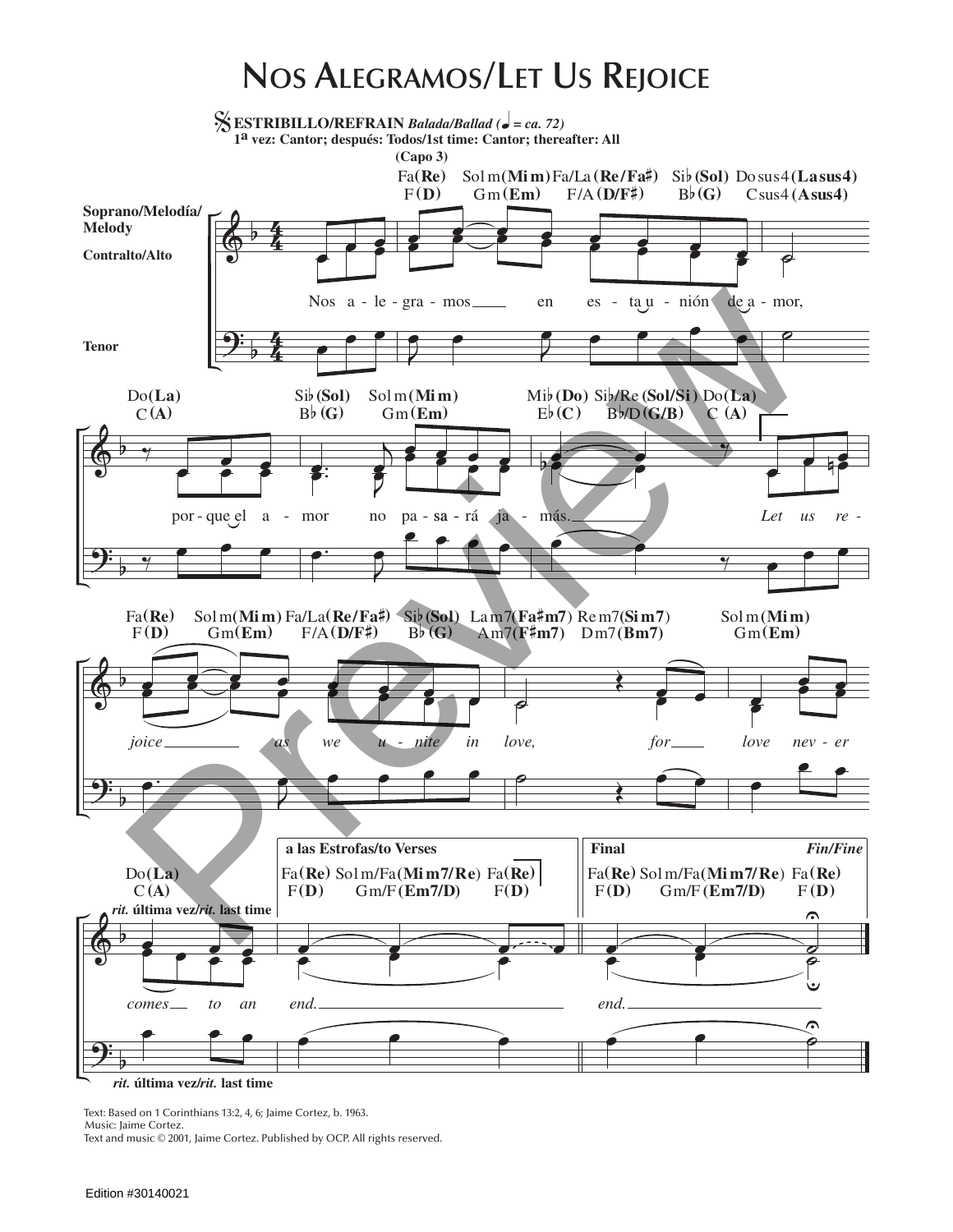## **Nos Alegramos/Let Us Rejoice**



Text: Based on 1 Corinthians 13:2, 4, 6; Jaime Cortez, b. 1963. Music: Jaime Cortez.